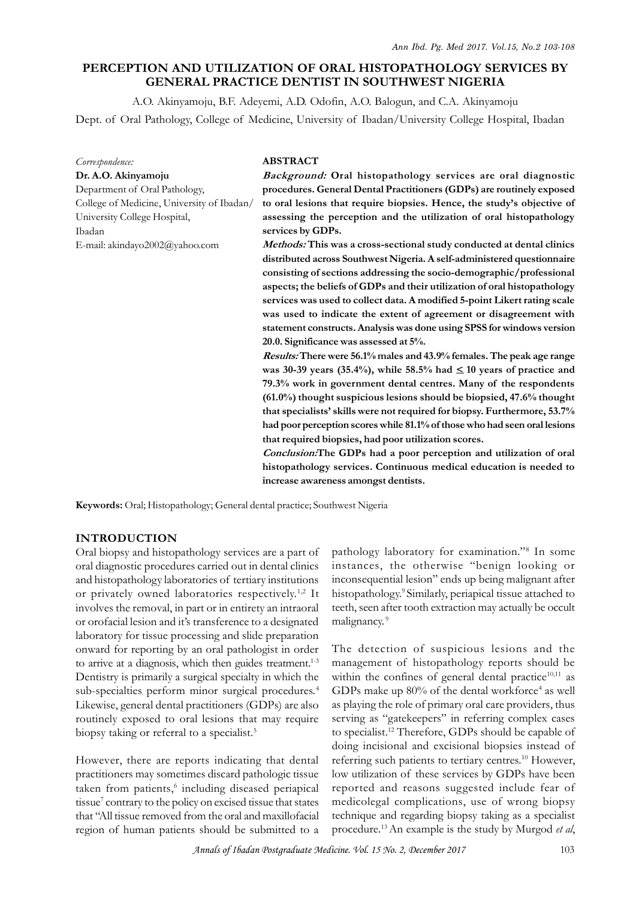# **PERCEPTION AND UTILIZATION OF ORAL HISTOPATHOLOGY SERVICES BY GENERAL PRACTICE DENTIST IN SOUTHWEST NIGERIA**

A.O. Akinyamoju, B.F. Adeyemi, A.D. Odofin, A.O. Balogun, and C.A. Akinyamoju Dept. of Oral Pathology, College of Medicine, University of Ibadan/University College Hospital, Ibadan

| Correspondence:                            | <b>ABSTRACT</b>                                                                          |
|--------------------------------------------|------------------------------------------------------------------------------------------|
| Dr. A.O. Akinyamoju                        | Background: Oral histopathology services are oral diagnostic                             |
| Department of Oral Pathology,              | procedures. General Dental Practitioners (GDPs) are routinely exposed                    |
| College of Medicine, University of Ibadan/ | to oral lesions that require biopsies. Hence, the study's objective of                   |
| University College Hospital,<br>Ibadan     | assessing the perception and the utilization of oral histopathology<br>services by GDPs. |
| E-mail: akindayo2002@yahoo.com             | Methods: This was a cross-sectional study conducted at dental clinics                    |
|                                            | distributed across Southwest Nigeria. A self-administered questionnaire                  |
|                                            | consisting of sections addressing the socio-demographic/professional                     |
|                                            | aspects; the beliefs of GDPs and their utilization of oral histopathology                |
|                                            | services was used to collect data. A modified 5-point Likert rating scale                |
|                                            | was used to indicate the extent of agreement or disagreement with                        |
|                                            | statement constructs. Analysis was done using SPSS for windows version                   |
|                                            | 20.0. Significance was assessed at 5%.                                                   |
|                                            | Results: There were 56.1% males and 43.9% females. The peak age range                    |
|                                            | was 30-39 years (35.4%), while 58.5% had $\leq$ 10 years of practice and                 |
|                                            | 79.3% work in government dental centres. Many of the respondents                         |
|                                            | (61.0%) thought suspicious lesions should be biopsied, 47.6% thought                     |
|                                            | that specialists' skills were not required for biopsy. Furthermore, 53.7%                |
|                                            | had poor perception scores while 81.1% of those who had seen oral lesions                |
|                                            | that required biopsies, had poor utilization scores.                                     |
|                                            | Conclusion: The GDPs had a poor perception and utilization of oral                       |
|                                            | histopathology services. Continuous medical education is needed to                       |
|                                            | increase awareness amongst dentists.                                                     |

**Keywords:** Oral; Histopathology; General dental practice; Southwest Nigeria

## **INTRODUCTION**

Oral biopsy and histopathology services are a part of oral diagnostic procedures carried out in dental clinics Example 19 and histopathology services are a part of<br>
Oral biopsy and histopathology services are a part of<br>
oral diagnostic procedures carried out in dental clinics<br>
and histopathology laboratories of tertiary institution or privately owned laboratories respectively.1,2 It involves the removal, in part or in entirety an intraoral or orofacial lesion and it's transference to a designated laboratory for tissue processing and slide preparation onward for reporting by an oral pathologist in order to arrive at a diagnosis, which then guides treatment.<sup>1-3</sup> management of histopathology reports should be Dentistry is primarily a surgical specialty in which the sub-specialties perform minor surgical procedures.<sup>4</sup> Likewise, general dental practitioners (GDPs) are also routinely exposed to oral lesions that may require biopsy taking or referral to a specialist.<sup>5</sup>

However, there are reports indicating that dental practitioners may sometimes discard pathologic tissue low utilization of these services by GDPs have been taken from patients,<sup>6</sup> including diseased periapical ro tissue<sup>7</sup> contrary to the policy on excised tissue that states med that "All tissue removed from the oral and maxillofacial region of human patients should be submitted to a

pathology laboratory for examination."<sup>8</sup> In some instances, the otherwise "benign looking or inconsequential lesion" ends up being malignant after histopathology.<sup>9</sup> Similarly, periapical tissue attached to teeth, seen after tooth extraction may actually be occult malignancy.<sup>9</sup>

The detection of suspicious lesions and the mathology.<sup>2</sup> Similarly, periapical tissue attached to<br>teeth, seen after tooth extraction may actually be occult<br>malignancy.<sup>9</sup><br>The detection of suspicious lesions and the<br>management of histopathology reports should be<br>wit within the confines of general dental practice $10,11$  as GDPs make up 80% of the dental workforce<sup>4</sup> as well as playing the role of primary oral care providers, thus serving as "gatekeepers" in referring complex cases to specialist.<sup>12</sup> Therefore, GDPs should be capable of doing incisional and excisional biopsies instead of referring such patients to tertiary centres.<sup>10</sup> However, as playing the role of primary oral care providers, thus<br>serving as "gatekeepers" in referring complex cases<br>to specialist.<sup>12</sup> Therefore, GDPs should be capable of<br>doing incisional and excisional biopsies instead of<br>refer reported and reasons suggested include fear of medicolegal complications, use of wrong biopsy technique and regarding biopsy taking as a specialist procedure.<sup>13</sup>An example is the study by Murgod *et al*,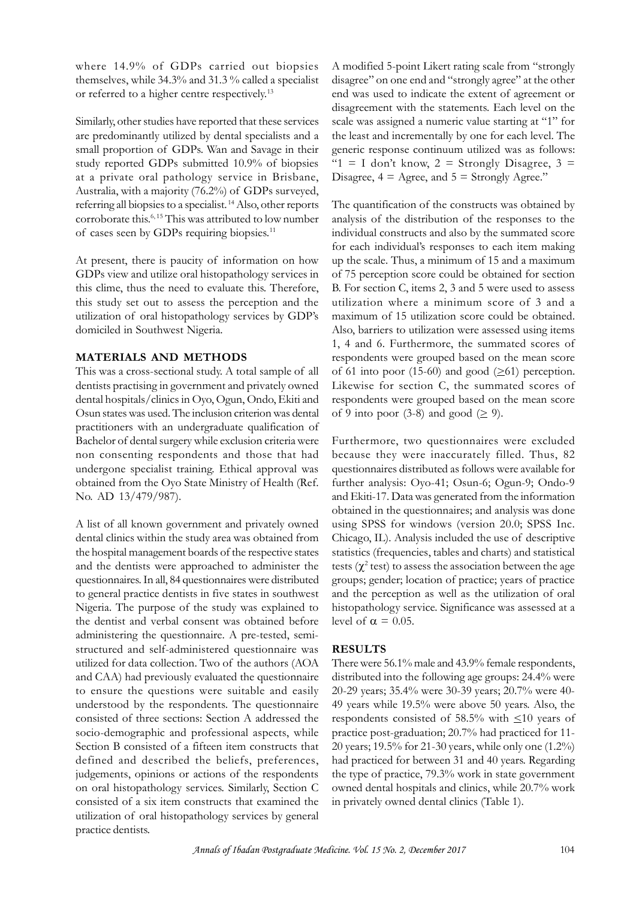where 14.9% of GDPs carried out biopsies themselves, while 34.3% and 31.3 % called a specialist or referred to a higher centre respectively.<sup>13</sup>

Similarly, other studies have reported that these services are predominantly utilized by dental specialists and a themselves, while 34.3% and 31.3% called a specialist<br>or referred to a higher centre respectively.<sup>13</sup> end<br>disa<br>Similarly, other studies have reported that these services<br>are predominantly utilized by dental specialists an study reported GDPs submitted 10.9% of biopsies at a private oral pathology service in Brisbane, Similarly, other studies have reported that these services<br>are predominantly utilized by dental specialists and a<br>small proportion of GDPs. Wan and Savage in their<br>study reported GDPs submitted 10.9% of biopsies<br>at a priva referring all biopsies to a specialist.<sup>14</sup> Also, other reports corroborate this.6, 15 This was attributed to low number study reported GDPs submitted 10.9% of biopsies.<br>
at a private oral pathology service in Brisbane, Disagree,<br>
Australia, with a majority (76.2%) of GDPs surveyed,<br>
referring all biopsies to a specialist.<sup>14</sup> Also, other r

GDPs view and utilize oral histopathology services in this clime, thus the need to evaluate this. Therefore, this study set out to assess the perception and the for<br>the present, there is paucity of information on how<br>in this clime, thus the need to evaluate this. Therefore, B. F<br>this study set out to assess the perception and the utili<br>utilization of oral histopathology services b domiciled in Southwest Nigeria. this study set out to assess the perception and the utilization wh<br>
utilization of oral histopathology services by GDP's maximum of 1!<br>
domiciled in Southwest Nigeria. Also, barriers to<br>  $1, 4$  and 6. Fu<br> **MATERIALS AND ME** 

## **MATERIALS AND METHODS**

dentists practising in government and privately owned dental hospitals/clinics in Oyo, Ogun, Ondo, Ekiti and Osun states was used. The inclusion criterion was dental practitioners with an undergraduate qualification of Bachelor of dental surgery while exclusion criteria were non consenting respondents and those that had undergone specialist training. Ethical approval was obtained from the Oyo State Ministry of Health (Ref. No. AD 13/479/987).

A list of all known government and privately owned dental clinics within the study area was obtained from Chicago, IL). Analysis included the use of descriptive the hospital management boards of the respective states and the dentists were approached to administer the questionnaires. In all, 84 questionnaires were distributed to general practice dentists in five states in southwest Nigeria. The purpose of the study was explained to the dentist and verbal consent was obtained before administering the questionnaire. A pre-tested, semistructured and self-administered questionnaire was to general practice dentists in tive states in southwest and the p<br>Nigeria. The purpose of the study was explained to histopath<br>the dentist and verbal consent was obtained before level of  $\alpha$ <br>administering the questionna and CAA) had previously evaluated the questionnaire to ensure the questions were suitable and easily understood by the respondents. The questionnaire consisted of three sections: Section A addressed the socio-demographic and professional aspects, while Section B consisted of a fifteen item constructs that defined and described the beliefs, preferences, judgements, opinions or actions of the respondents on oral histopathology services. Similarly, Section C consisted of a six item constructs that examined the Section B consisted of a fifteen item constructs that 2<br>defined and described the beliefs, preferences, h<br>judgements, opinions or actions of the respondents the<br>on oral histopathology services. Similarly, Section C or<br>cons practice dentists.

A modified 5-point Likert rating scale from "strongly disagree" on one end and "strongly agree" at the other end was used to indicate the extent of agreement or disagreement with the statements. Each level on the scale was assigned a numeric value starting at "1" for the least and incrementally by one for each level. The generic response continuum utilized was as follows: " $1 = I$  don't know,  $2 =$  Strongly Disagree,  $3 =$ Disagree,  $4 = \text{Agree}$ , and  $5 = \text{Strongly Agee.}$ "

The quantification of the constructs was obtained by analysis of the distribution of the responses to the individual constructs and also by the summated score for each individual's responses to each item making up the scale. Thus, a minimum of 15 and a maximum of 75 perception score could be obtained for section B. For section C, items 2, 3 and 5 were used to assess utilization where a minimum score of 3 and a maximum of 15 utilization score could be obtained. Also, barriers to utilization were assessed using items 1, 4 and 6. Furthermore, the summated scores of respondents were grouped based on the mean score of 61 into poor (15-60) and good  $(\geq 61)$  perception. Likewise for section C, the summated scores of respondents were grouped based on the mean score of 9 into poor (3-8) and good ( $\geq$  9).

Furthermore, two questionnaires were excluded because they were inaccurately filled. Thus, 82 questionnaires distributed as follows were available for further analysis: Oyo-41; Osun-6; Ogun-9; Ondo-9 and Ekiti-17. Data was generated from the information obtained in the questionnaires; and analysis was done using SPSS for windows (version 20.0; SPSS Inc. questionnaires distributed as follows were available for<br>further analysis: Oyo-41; Osun-6; Ogun-9; Ondo-9<br>and Ekiti-17. Data was generated from the information<br>obtained in the questionnaires; and analysis was done<br>using SP statistics (frequencies, tables and charts) and statistical tests  $(\chi^2 \text{ test})$  to assess the association between the age groups; gender; location of practice; years of practice and the perception as well as the utilization of oral histopathology service. Significance was assessed at a level of  $\alpha = 0.05$ .

### **RESULTS**

There were 56.1% male and 43.9% female respondents, distributed into the following age groups: 24.4% were 20-29 years; 35.4% were 30-39 years; 20.7% were 40- 49 years while 19.5% were above 50 years. Also, the respondents consisted of 58.5% with  $\leq 10$  years of practice post-graduation; 20.7% had practiced for 11- 20 years; 19.5% for 21-30 years, while only one (1.2%) had practiced for between 31 and 40 years. Regarding the type of practice, 79.3% work in state government owned dental hospitals and clinics, while 20.7% work in privately owned dental clinics (Table 1).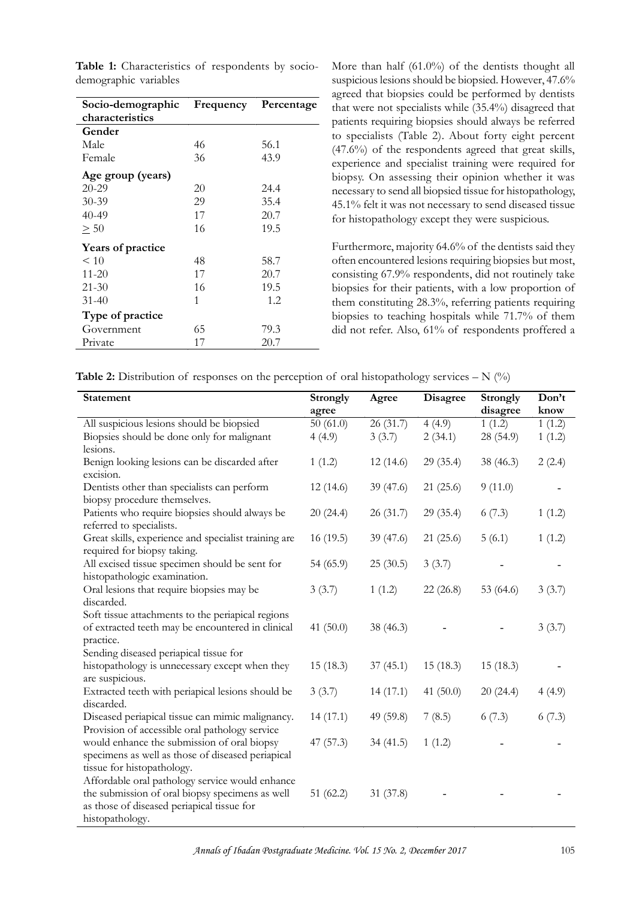| Socio-demographic        | Frequency | Percentage | agreed that biopsies could be performed by<br>that were not specialists while $(35.4\%)$ disage       |
|--------------------------|-----------|------------|-------------------------------------------------------------------------------------------------------|
| characteristics          |           |            | patients requiring biopsies should always be                                                          |
| Gender                   |           |            | to specialists (Table 2). About forty eight                                                           |
| Male                     | 46        | 56.1       | $(47.6\%)$ of the respondents agreed that gre                                                         |
| Female                   | 36        | 43.9       | experience and specialist training were requ                                                          |
| Age group (years)        |           |            | biopsy. On assessing their opinion whether                                                            |
| $20 - 29$                | 20        | 24.4       | necessary to send all biopsied tissue for histop                                                      |
| $30 - 39$                | 29        | 35.4       | 45.1% felt it was not necessary to send diseas                                                        |
| 40-49                    | 17        | 20.7       | for histopathology except they were suspicio                                                          |
| $\geq 50$                | 16        | 19.5       |                                                                                                       |
| <b>Years of practice</b> |           |            | Furthermore, majority 64.6% of the dentists                                                           |
| < 10                     | 48        | 58.7       | often encountered lesions requiring biopsies b                                                        |
| $11 - 20$                | 17        | 20.7       | consisting 67.9% respondents, did not routi                                                           |
| $21 - 30$                | 16        | 19.5       | biopsies for their patients, with a low prope                                                         |
| $31 - 40$                | 1         | 1.2        | them constituting 28.3%, referring patients                                                           |
| Type of practice         |           |            | biopsies to teaching hospitals while 71.7%                                                            |
| Government               | 65        | 79.3       | did not refer. Also, 61% of respondents pro                                                           |
| Private                  | 17        | 20.7       |                                                                                                       |
|                          |           |            |                                                                                                       |
|                          |           |            | <b>Table 2:</b> Distribution of responses on the perception of oral histopathology services $- N$ (%) |
| <b>Statement</b>         |           |            | Strongly<br><b>Disagree</b><br>Strongly<br>Agree                                                      |

**Table 1:** Characteristics of respondents by sociodemographic variables

More than half (61.0%) of the dentists thought all suspicious lesions should be biopsied. However, 47.6% agreed that biopsies could be performed by dentists **Frequency** Percentage that were not specialists while (35.4%) disagreed that patients requiring biopsies should always be referred to specialists (Table 2). About forty eight percent (47.6%) of the respondents agreed that great skills, experience and specialist training were required for biopsy. On assessing their opinion whether it was necessary to send all biopsied tissue for histopathology, 45.1% felt it was not necessary to send diseased tissue for histopathology except they were suspicious.

> Furthermore, majority 64.6% of the dentists said they often encountered lesions requiring biopsies but most, consisting 67.9% respondents, did not routinely take biopsies for their patients, with a low proportion of them constituting 28.3%, referring patients requiring biopsies to teaching hospitals while 71.7% of them often encountered lesions requiring biopsies but most, consisting 67.9% respondents, did not routinely take biopsies for their patients, with a low proportion of them constituting 28.3%, referring patients requiring biopsi

| <b>Table 2:</b> Distribution of responses on the perception of oral histopathology services $- N$ (%) |  |  |  |  |  |  |
|-------------------------------------------------------------------------------------------------------|--|--|--|--|--|--|
|-------------------------------------------------------------------------------------------------------|--|--|--|--|--|--|

| <b>Statement</b>                                                                    | <b>Strongly</b> | Agree     | Disagree    | <b>Strongly</b> | Don't  |
|-------------------------------------------------------------------------------------|-----------------|-----------|-------------|-----------------|--------|
|                                                                                     | agree           |           |             | disagree        | know   |
| All suspicious lesions should be biopsied                                           | 50(61.0)        | 26 (31.7) | 4(4.9)      | 1(1.2)          | 1(1.2) |
| Biopsies should be done only for malignant                                          | 4(4.9)          | 3(3.7)    | 2(34.1)     | 28 (54.9)       | 1(1.2) |
| lesions.                                                                            |                 |           |             |                 |        |
| Benign looking lesions can be discarded after                                       | 1(1.2)          | 12(14.6)  | 29(35.4)    | 38 (46.3)       | 2(2.4) |
| excision.                                                                           |                 |           |             |                 |        |
| Dentists other than specialists can perform                                         | 12(14.6)        | 39 (47.6) | 21(25.6)    | 9(11.0)         |        |
| biopsy procedure themselves.                                                        |                 |           |             |                 |        |
| Patients who require biopsies should always be                                      | 20(24.4)        | 26 (31.7) | 29 (35.4)   | 6(7.3)          | 1(1.2) |
| referred to specialists.                                                            |                 |           |             |                 |        |
| Great skills, experience and specialist training are<br>required for biopsy taking. | 16(19.5)        | 39 (47.6) | 21(25.6)    | 5(6.1)          | 1(1.2) |
| All excised tissue specimen should be sent for                                      | 54 (65.9)       | 25(30.5)  | 3(3.7)      |                 |        |
| histopathologic examination.                                                        |                 |           |             |                 |        |
| Oral lesions that require biopsies may be                                           | 3(3.7)          | 1(1.2)    | 22(26.8)    | 53 (64.6)       | 3(3.7) |
| discarded.                                                                          |                 |           |             |                 |        |
| Soft tissue attachments to the periapical regions                                   |                 |           |             |                 |        |
| of extracted teeth may be encountered in clinical                                   | 41 $(50.0)$     | 38 (46.3) |             |                 | 3(3.7) |
| practice.                                                                           |                 |           |             |                 |        |
| Sending diseased periapical tissue for                                              |                 |           |             |                 |        |
| histopathology is unnecessary except when they<br>are suspicious.                   | 15(18.3)        | 37(45.1)  | 15(18.3)    | 15(18.3)        |        |
| Extracted teeth with periapical lesions should be                                   | 3(3.7)          | 14(17.1)  | 41 $(50.0)$ | 20(24.4)        | 4(4.9) |
| discarded.                                                                          |                 |           |             |                 |        |
| Diseased periapical tissue can mimic malignancy.                                    | 14(17.1)        | 49 (59.8) | 7(8.5)      | 6(7.3)          | 6(7.3) |
| Provision of accessible oral pathology service                                      |                 |           |             |                 |        |
| would enhance the submission of oral biopsy                                         | 47(57.3)        | 34(41.5)  | 1(1.2)      |                 |        |
| specimens as well as those of diseased periapical                                   |                 |           |             |                 |        |
| tissue for histopathology.                                                          |                 |           |             |                 |        |
| Affordable oral pathology service would enhance                                     |                 |           |             |                 |        |
| the submission of oral biopsy specimens as well                                     | 51(62.2)        | 31 (37.8) |             |                 |        |
| as those of diseased periapical tissue for                                          |                 |           |             |                 |        |
| histopathology.                                                                     |                 |           |             |                 |        |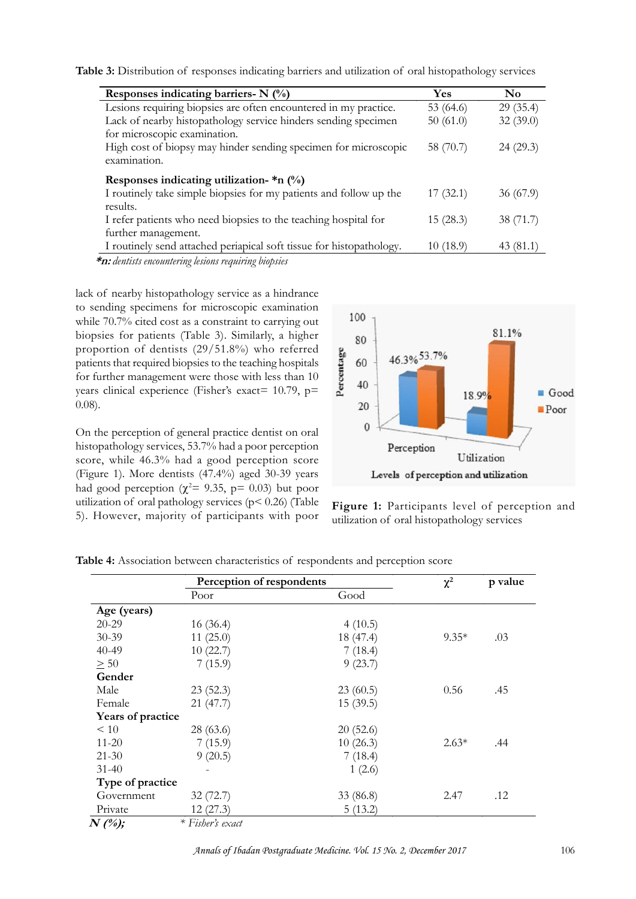|                                                                                                            | Yes         | <b>Table 3:</b> Distribution of responses indicating barriers and utilization of oral histopathology services |
|------------------------------------------------------------------------------------------------------------|-------------|---------------------------------------------------------------------------------------------------------------|
| Responses indicating barriers- $N$ (%)<br>Lesions requiring biopsies are often encountered in my practice. | 53 $(64.6)$ | N <sub>0</sub><br>29(35.4)                                                                                    |
| Lack of nearby histopathology service hinders sending specimen<br>for microscopic examination.             | 50(61.0)    | 32(39.0)                                                                                                      |
| High cost of biopsy may hinder sending specimen for microscopic<br>examination.                            | 58 (70.7)   | 24(29.3)                                                                                                      |
| Responses indicating utilization- $*n$ (%)                                                                 |             |                                                                                                               |
| I routinely take simple biopsies for my patients and follow up the<br>results.                             | 17(32.1)    | 36(67.9)                                                                                                      |
| I refer patients who need biopsies to the teaching hospital for<br>further management.                     | 15(28.3)    | 38 (71.7)                                                                                                     |
| I routinely send attached periapical soft tissue for histopathology.                                       | 10(18.9)    | 43(81.1)                                                                                                      |

while 70.7% cited cost as a constraint to carrying out biopsies for patients (Table 3). Similarly, a higher proportion of dentists (29/51.8%) who referred<br>patients that required biopsies to the teaching hospitals<br>for further management were those with less than 10<br>years clinical experience (Fisher's exact= 10.79,  $p=$ patients that required biopsies to the teaching hospitals for further management were those with less than  $10\frac{g}{g}$  40 years clinical experience (Fisher's exact= 10.79, p= 0.08).

On the perception of general practice dentist on oral histopathology services, 53.7% had a poor perception score, while 46.3% had a good perception score (Figure 1). More dentists (47.4%) aged 30-39 years had good perception ( $\chi^2$  = 9.35, p = 0.03) but poor utilization of oral pathology services ( $p$ < 0.26) (Table Figure 1: Participants level of perce 5). However, majority of participants with poor utilization of oral histopathology services 5). However, majority of participants with poor





|                   | Perception of respondents |           | $\chi^2$ | p value |  |
|-------------------|---------------------------|-----------|----------|---------|--|
|                   | Poor                      | Good      |          |         |  |
| Age (years)       |                           |           |          |         |  |
| $20 - 29$         | 16(36.4)                  | 4(10.5)   |          |         |  |
| 30-39             | 11(25.0)                  | 18 (47.4) | $9.35*$  | .03     |  |
| 40-49             | 10(22.7)                  | 7(18.4)   |          |         |  |
| $\geq 50$         | 7(15.9)                   | 9(23.7)   |          |         |  |
| Gender            |                           |           |          |         |  |
| Male              | 23(52.3)                  | 23(60.5)  | 0.56     | .45     |  |
| Female            | 21(47.7)                  | 15(39.5)  |          |         |  |
| Years of practice |                           |           |          |         |  |
| $\leq 10$         | 28(63.6)                  | 20(52.6)  |          |         |  |
| $11 - 20$         | 7(15.9)                   | 10(26.3)  | $2.63*$  | .44     |  |
| $21 - 30$         | 9(20.5)                   | 7(18.4)   |          |         |  |
| $31 - 40$         |                           | 1(2.6)    |          |         |  |
| Type of practice  |                           |           |          |         |  |
| Government        | 32(72.7)                  | 33 (86.8) | 2.47     | .12     |  |
| Private           | 12(27.3)                  | 5(13.2)   |          |         |  |
| $N(\%);$          | * Fisher's exact          |           |          |         |  |

**Table 4:** Association between characteristics of respondents and perception score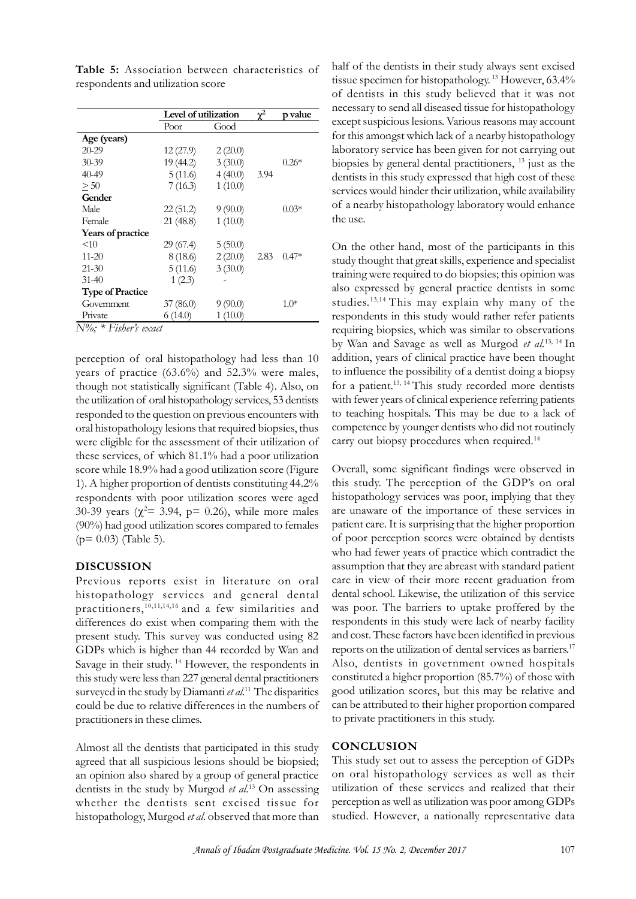| Good<br>Poor<br>$20 - 29$<br>12(27.9)<br>2(20.0)<br>$0.26*$<br>$30 - 39$<br>19 (44.2)<br>3(30.0)<br>40-49<br>4(40.0)<br>5(11.6)<br>3.94<br>> 50<br>7(16.3)<br>1(10.0)<br>Gender<br>$0.03*$<br>Male<br>22(51.2)<br>9(90.0)<br>Female<br>21 (48.8)<br>1(10.0)<br>Years of practice<br><10<br>29 (67.4)<br>5(50.0)<br>$0.47*$<br>8 (18.6)<br>$11 - 20$<br>2(20.0)<br>2.83<br>5(11.6)<br>3(30.0)<br>$21 - 30$<br>$31 - 40$<br>1(2.3)<br><b>Type of Practice</b><br>9(90.0)<br>37(86.0)<br>$1.0*$<br>Government<br>Private<br>1(10.0)<br>6(14.0)<br>N%; * Fisher's exact |             | Level of utilization | $\chi^2$ | p value |  |
|---------------------------------------------------------------------------------------------------------------------------------------------------------------------------------------------------------------------------------------------------------------------------------------------------------------------------------------------------------------------------------------------------------------------------------------------------------------------------------------------------------------------------------------------------------------------|-------------|----------------------|----------|---------|--|
|                                                                                                                                                                                                                                                                                                                                                                                                                                                                                                                                                                     |             |                      |          |         |  |
|                                                                                                                                                                                                                                                                                                                                                                                                                                                                                                                                                                     | Age (years) |                      |          |         |  |
|                                                                                                                                                                                                                                                                                                                                                                                                                                                                                                                                                                     |             |                      |          |         |  |
|                                                                                                                                                                                                                                                                                                                                                                                                                                                                                                                                                                     |             |                      |          |         |  |
|                                                                                                                                                                                                                                                                                                                                                                                                                                                                                                                                                                     |             |                      |          |         |  |
|                                                                                                                                                                                                                                                                                                                                                                                                                                                                                                                                                                     |             |                      |          |         |  |
|                                                                                                                                                                                                                                                                                                                                                                                                                                                                                                                                                                     |             |                      |          |         |  |
|                                                                                                                                                                                                                                                                                                                                                                                                                                                                                                                                                                     |             |                      |          |         |  |
|                                                                                                                                                                                                                                                                                                                                                                                                                                                                                                                                                                     |             |                      |          |         |  |
|                                                                                                                                                                                                                                                                                                                                                                                                                                                                                                                                                                     |             |                      |          |         |  |
|                                                                                                                                                                                                                                                                                                                                                                                                                                                                                                                                                                     |             |                      |          |         |  |
|                                                                                                                                                                                                                                                                                                                                                                                                                                                                                                                                                                     |             |                      |          |         |  |
|                                                                                                                                                                                                                                                                                                                                                                                                                                                                                                                                                                     |             |                      |          |         |  |
|                                                                                                                                                                                                                                                                                                                                                                                                                                                                                                                                                                     |             |                      |          |         |  |
|                                                                                                                                                                                                                                                                                                                                                                                                                                                                                                                                                                     |             |                      |          |         |  |
|                                                                                                                                                                                                                                                                                                                                                                                                                                                                                                                                                                     |             |                      |          |         |  |
|                                                                                                                                                                                                                                                                                                                                                                                                                                                                                                                                                                     |             |                      |          |         |  |
| perception of oral histopathology had less than 10                                                                                                                                                                                                                                                                                                                                                                                                                                                                                                                  |             |                      |          |         |  |

**Table 5:** Association between characteristics of respondents and utilization score

years of practice (63.6%) and 52.3% were males, though not statistically significant (Table 4). Also, on the utilization of oral histopathology services, 53 dentists responded to the question on previous encounters with oral histopathology lesions that required biopsies, thus were eligible for the assessment of their utilization of though not statistically significant (1able 4). Also, on for a p<br>the utilization of oral histopathology services, 53 dentists with fe<br>responded to the question on previous encounters with to tead<br>oral histopathology lesio score while 18.9% had a good utilization score (Figure respondents with poor utilization scores were aged 30-39 years ( $\chi^2$  = 3.94, p = 0.26), while more males are (90%) had good utilization scores compared to females  $(p= 0.03)$  (Table 5).

## **DISCUSSION**

Previous reports exist in literature on oral practitioners,10,11,14,16 and a few similarities and differences do exist when comparing them with the present study. This survey was conducted using 82 GDPs which is higher than 44 recorded by Wan and Savage in their study.<sup>14</sup> However, the respondents in this study were less than 227 general dental practitioners surveyed in the study by Diamanti *et al*.<sup>11</sup> The disparities could be due to relative differences in the numbers of practitioners in these climes.

Almost all the dentists that participated in this study agreed that all suspicious lesions should be biopsied; an opinion also shared by a group of general practice whether the dentists sent excised tissue for histopathology, Murgod *et al*. observed that more than

half of the dentists in their study always sent excised tissue specimen for histopathology.<sup>13</sup> However, 63.4% of dentists in this study believed that it was not necessary to send all diseased tissue for histopathology except suspicious lesions. Various reasons may account half of the dentists in their study always sent excised<br>tissue specimen for histopathology.<sup>13</sup> However, 63.4%<br>of dentists in this study believed that it was not<br>necessary to send all diseased tissue for histopathology<br>exc laboratory service has been given for not carrying out  $0.26*$  biopsies by general dental practitioners,  $13$  just as the dentists in this study expressed that high cost of these services would hinder their utilization, while availability for this amongst which lack of a nearby histopathology<br>laboratory service has been given for not carrying out<br>biopsies by general dental practitioners, <sup>13</sup> just as the<br>dentists in this study expressed that high cost of th the use.

On the other hand, most of the participants in this study thought that great skills, experience and specialist training were required to do biopsies; this opinion was also expressed by general practice dentists in some On the other hand, most of the participants in this study thought that great skills, experience and specialist training were required to do biopsies; this opinion was also expressed by general practice dentists in some stu respondents in this study would rather refer patients requiring biopsies, which was similar to observations by Wan and Savage as well as Murgod *et al.*13, 14 In addition, years of clinical practice have been thought to influence the possibility of a dentist doing a biopsy for a patient.<sup>13, 14</sup> This study recorded more dentists with fewer years of clinical experience referring patients to teaching hospitals. This may be due to a lack of competence by younger dentists who did not routinely carry out biopsy procedures when required.<sup>14</sup>

1). A higher proportion of dentists constituting 44.2% this study. The perception of the GDP's on oral histopathology services and general dental dental school. Likewise, the utilization of this service Overall, some significant findings were observed in to teaching hospitals. This may be due to a lack of<br>competence by younger dentists who did not routinely<br>carry out biopsy procedures when required.<sup>14</sup><br>Overall, some significant findings were observed in<br>this study. The pe carry out biopsy procedures when required.<sup>14</sup><br>Overall, some significant findings were observed in<br>this study. The perception of the GDP's on oral<br>histopathology services was poor, implying that they<br>are unaware of the imp patient care. It is surprising that the higher proportion of poor perception scores were obtained by dentists who had fewer years of practice which contradict the assumption that they are abreast with standard patient care in view of their more recent graduation from patient care. It is surprising that the higher proportion<br>of poor perception scores were obtained by dentists<br>who had fewer years of practice which contradict the<br>assumption that they are abreast with standard patient<br>care was poor. The barriers to uptake proffered by the respondents in this study were lack of nearby facility and cost. These factors have been identified in previous reports on the utilization of dental services as barriers.<sup>17</sup> Also, dentists in government owned hospitals constituted a higher proportion (85.7%) of those with good utilization scores, but this may be relative and can be attributed to their higher proportion compared to private practitioners in this study.

#### **CONCLUSION**

dentists in the study by Murgod *et al.*<sup>13</sup> On assessing utilization of these services and realized that their This study set out to assess the perception of GDPs on oral histopathology services as well as their to private practitioners in this study.<br> **CONCLUSION**<br>
This study set out to assess the perception of GDPs<br>
on oral histopathology services as well as their<br>
utilization of these services and realized that their<br>
perceptio perception as well as utilization was poor among GDPs studied. However, a nationally representative data